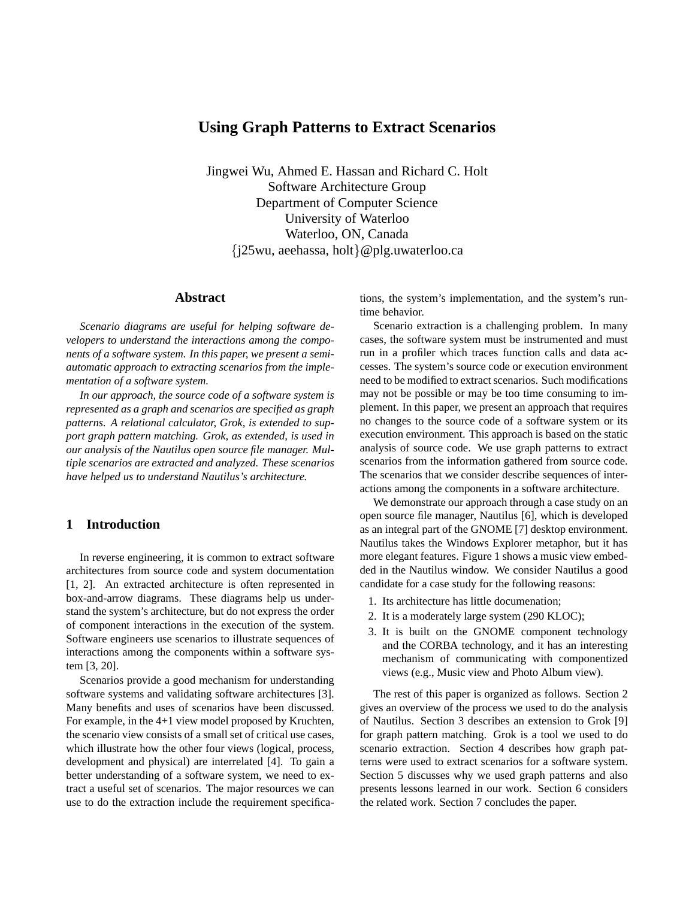# **Using Graph Patterns to Extract Scenarios**

Jingwei Wu, Ahmed E. Hassan and Richard C. Holt Software Architecture Group Department of Computer Science University of Waterloo Waterloo, ON, Canada {j25wu, aeehassa, holt}@plg.uwaterloo.ca

#### **Abstract**

*Scenario diagrams are useful for helping software developers to understand the interactions among the components of a software system. In this paper, we present a semiautomatic approach to extracting scenarios from the implementation of a software system.*

*In our approach, the source code of a software system is represented as a graph and scenarios are specified as graph patterns. A relational calculator, Grok, is extended to support graph pattern matching. Grok, as extended, is used in our analysis of the Nautilus open source file manager. Multiple scenarios are extracted and analyzed. These scenarios have helped us to understand Nautilus's architecture.*

# **1 Introduction**

In reverse engineering, it is common to extract software architectures from source code and system documentation [1, 2]. An extracted architecture is often represented in box-and-arrow diagrams. These diagrams help us understand the system's architecture, but do not express the order of component interactions in the execution of the system. Software engineers use scenarios to illustrate sequences of interactions among the components within a software system [3, 20].

Scenarios provide a good mechanism for understanding software systems and validating software architectures [3]. Many benefits and uses of scenarios have been discussed. For example, in the 4+1 view model proposed by Kruchten, the scenario view consists of a small set of critical use cases, which illustrate how the other four views (logical, process, development and physical) are interrelated [4]. To gain a better understanding of a software system, we need to extract a useful set of scenarios. The major resources we can use to do the extraction include the requirement specifications, the system's implementation, and the system's runtime behavior.

Scenario extraction is a challenging problem. In many cases, the software system must be instrumented and must run in a profiler which traces function calls and data accesses. The system's source code or execution environment need to be modified to extract scenarios. Such modifications may not be possible or may be too time consuming to implement. In this paper, we present an approach that requires no changes to the source code of a software system or its execution environment. This approach is based on the static analysis of source code. We use graph patterns to extract scenarios from the information gathered from source code. The scenarios that we consider describe sequences of interactions among the components in a software architecture.

We demonstrate our approach through a case study on an open source file manager, Nautilus [6], which is developed as an integral part of the GNOME [7] desktop environment. Nautilus takes the Windows Explorer metaphor, but it has more elegant features. Figure 1 shows a music view embedded in the Nautilus window. We consider Nautilus a good candidate for a case study for the following reasons:

- 1. Its architecture has little documenation;
- 2. It is a moderately large system (290 KLOC);
- 3. It is built on the GNOME component technology and the CORBA technology, and it has an interesting mechanism of communicating with componentized views (e.g., Music view and Photo Album view).

The rest of this paper is organized as follows. Section 2 gives an overview of the process we used to do the analysis of Nautilus. Section 3 describes an extension to Grok [9] for graph pattern matching. Grok is a tool we used to do scenario extraction. Section 4 describes how graph patterns were used to extract scenarios for a software system. Section 5 discusses why we used graph patterns and also presents lessons learned in our work. Section 6 considers the related work. Section 7 concludes the paper.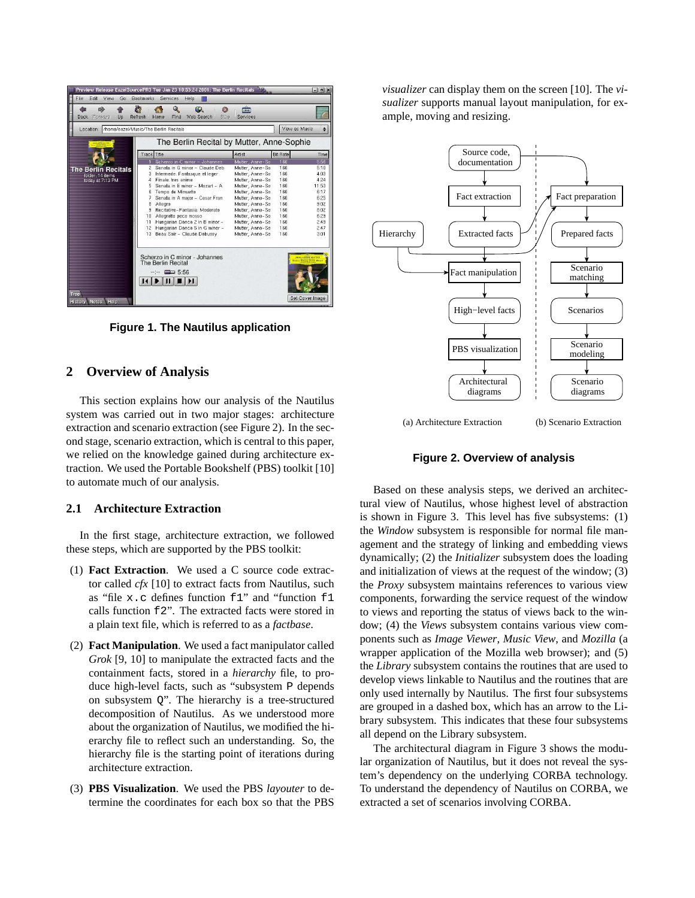

**Figure 1. The Nautilus application**

# **2 Overview of Analysis**

This section explains how our analysis of the Nautilus system was carried out in two major stages: architecture extraction and scenario extraction (see Figure 2). In the second stage, scenario extraction, which is central to this paper, we relied on the knowledge gained during architecture extraction. We used the Portable Bookshelf (PBS) toolkit [10] to automate much of our analysis.

#### **2.1 Architecture Extraction**

In the first stage, architecture extraction, we followed these steps, which are supported by the PBS toolkit:

- (1) **Fact Extraction**. We used a C source code extractor called *cfx* [10] to extract facts from Nautilus, such as "file x.c defines function f1" and "function f1 calls function f2". The extracted facts were stored in a plain text file, which is referred to as a *factbase*.
- (2) **Fact Manipulation**. We used a fact manipulator called *Grok* [9, 10] to manipulate the extracted facts and the containment facts, stored in a *hierarchy* file, to produce high-level facts, such as "subsystem P depends on subsystem  $Q$ ". The hierarchy is a tree-structured decomposition of Nautilus. As we understood more about the organization of Nautilus, we modified the hierarchy file to reflect such an understanding. So, the hierarchy file is the starting point of iterations during architecture extraction.
- (3) **PBS Visualization**. We used the PBS *layouter* to determine the coordinates for each box so that the PBS

*visualizer* can display them on the screen [10]. The *visualizer* supports manual layout manipulation, for example, moving and resizing.



(a) Architecture Extraction (b) Scenario Extraction

**Figure 2. Overview of analysis**

Based on these analysis steps, we derived an architectural view of Nautilus, whose highest level of abstraction is shown in Figure 3. This level has five subsystems: (1) the *Window* subsystem is responsible for normal file management and the strategy of linking and embedding views dynamically; (2) the *Initializer* subsystem does the loading and initialization of views at the request of the window; (3) the *Proxy* subsystem maintains references to various view components, forwarding the service request of the window to views and reporting the status of views back to the window; (4) the *Views* subsystem contains various view components such as *Image Viewer*, *Music View*, and *Mozilla* (a wrapper application of the Mozilla web browser); and (5) the *Library* subsystem contains the routines that are used to develop views linkable to Nautilus and the routines that are only used internally by Nautilus. The first four subsystems are grouped in a dashed box, which has an arrow to the Library subsystem. This indicates that these four subsystems all depend on the Library subsystem.

The architectural diagram in Figure 3 shows the modular organization of Nautilus, but it does not reveal the system's dependency on the underlying CORBA technology. To understand the dependency of Nautilus on CORBA, we extracted a set of scenarios involving CORBA.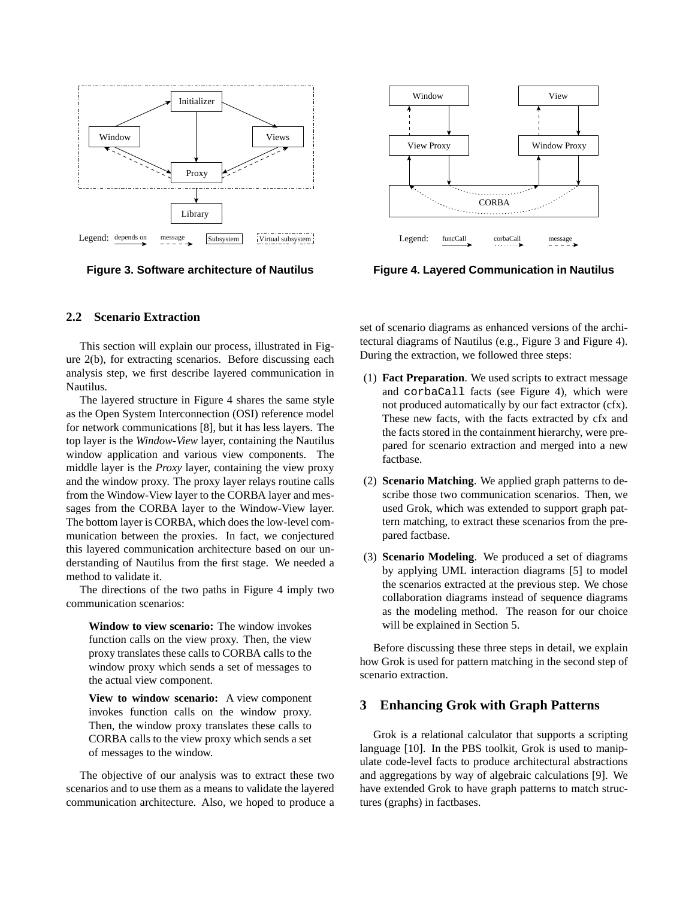

**Figure 3. Software architecture of Nautilus**



**Figure 4. Layered Communication in Nautilus**

## **2.2 Scenario Extraction**

This section will explain our process, illustrated in Figure 2(b), for extracting scenarios. Before discussing each analysis step, we first describe layered communication in Nautilus.

The layered structure in Figure 4 shares the same style as the Open System Interconnection (OSI) reference model for network communications [8], but it has less layers. The top layer is the *Window-View* layer, containing the Nautilus window application and various view components. The middle layer is the *Proxy* layer, containing the view proxy and the window proxy. The proxy layer relays routine calls from the Window-View layer to the CORBA layer and messages from the CORBA layer to the Window-View layer. The bottom layer is CORBA, which does the low-level communication between the proxies. In fact, we conjectured this layered communication architecture based on our understanding of Nautilus from the first stage. We needed a method to validate it.

The directions of the two paths in Figure 4 imply two communication scenarios:

**Window to view scenario:** The window invokes function calls on the view proxy. Then, the view proxy translates these calls to CORBA calls to the window proxy which sends a set of messages to the actual view component.

**View to window scenario:** A view component invokes function calls on the window proxy. Then, the window proxy translates these calls to CORBA calls to the view proxy which sends a set of messages to the window.

The objective of our analysis was to extract these two scenarios and to use them as a means to validate the layered communication architecture. Also, we hoped to produce a

set of scenario diagrams as enhanced versions of the architectural diagrams of Nautilus (e.g., Figure 3 and Figure 4). During the extraction, we followed three steps:

- (1) **Fact Preparation**. We used scripts to extract message and corbaCall facts (see Figure 4), which were not produced automatically by our fact extractor (cfx). These new facts, with the facts extracted by cfx and the facts stored in the containment hierarchy, were prepared for scenario extraction and merged into a new factbase.
- (2) **Scenario Matching**. We applied graph patterns to describe those two communication scenarios. Then, we used Grok, which was extended to support graph pattern matching, to extract these scenarios from the prepared factbase.
- (3) **Scenario Modeling**. We produced a set of diagrams by applying UML interaction diagrams [5] to model the scenarios extracted at the previous step. We chose collaboration diagrams instead of sequence diagrams as the modeling method. The reason for our choice will be explained in Section 5.

Before discussing these three steps in detail, we explain how Grok is used for pattern matching in the second step of scenario extraction.

# **3 Enhancing Grok with Graph Patterns**

Grok is a relational calculator that supports a scripting language [10]. In the PBS toolkit, Grok is used to manipulate code-level facts to produce architectural abstractions and aggregations by way of algebraic calculations [9]. We have extended Grok to have graph patterns to match structures (graphs) in factbases.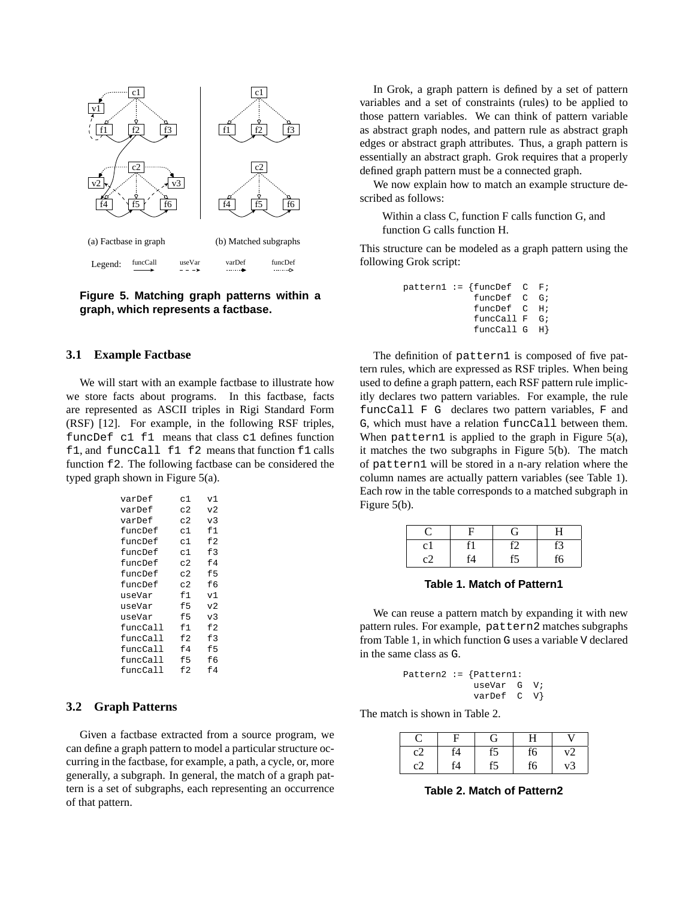

**Figure 5. Matching graph patterns within a graph, which represents a factbase.**

#### **3.1 Example Factbase**

We will start with an example factbase to illustrate how we store facts about programs. In this factbase, facts are represented as ASCII triples in Rigi Standard Form (RSF) [12]. For example, in the following RSF triples, funcDef c1 f1 means that class c1 defines function f1, and funcCall f1 f2 means that function f1 calls function f2. The following factbase can be considered the typed graph shown in Figure 5(a).

| varDef   | c1  | v1             |
|----------|-----|----------------|
| varDef   | c2  | v2             |
| varDef   | c2  | v <sub>3</sub> |
| funcDef  | c1  | f1             |
| funcDef  | c1  | E2             |
| funcDef  | c1  | f3             |
| funcDef  | C.2 | f4             |
| funcDef  | c2  | f5             |
| funcDef  | c2  | fб             |
| useVar   | f1  | v1             |
| useVar   | f5  | V <sub>2</sub> |
| useVar   | f5  | v <sub>3</sub> |
| funcCall | f1  | E <sub>2</sub> |
| funcCall | f2  | f3             |
| funcCall | f4  | f5             |
| funcCall | f5  | fб             |
| funcCall | f2  | f4             |

# **3.2 Graph Patterns**

Given a factbase extracted from a source program, we can define a graph pattern to model a particular structure occurring in the factbase, for example, a path, a cycle, or, more generally, a subgraph. In general, the match of a graph pattern is a set of subgraphs, each representing an occurrence of that pattern.

In Grok, a graph pattern is defined by a set of pattern variables and a set of constraints (rules) to be applied to those pattern variables. We can think of pattern variable as abstract graph nodes, and pattern rule as abstract graph edges or abstract graph attributes. Thus, a graph pattern is essentially an abstract graph. Grok requires that a properly defined graph pattern must be a connected graph.

We now explain how to match an example structure described as follows:

Within a class C, function F calls function G, and function G calls function H.

This structure can be modeled as a graph pattern using the following Grok script:

|  | $pattern1 := {funcDef}$ C F; |  |
|--|------------------------------|--|
|  | funcDef C G;                 |  |
|  | funcDef C H;                 |  |
|  | funcCall $F$ $G$ ;           |  |
|  | funccall G H                 |  |

The definition of pattern1 is composed of five pattern rules, which are expressed as RSF triples. When being used to define a graph pattern, each RSF pattern rule implicitly declares two pattern variables. For example, the rule funcCall F G declares two pattern variables, F and G, which must have a relation funcCall between them. When pattern1 is applied to the graph in Figure 5(a), it matches the two subgraphs in Figure 5(b). The match of pattern1 will be stored in a n-ary relation where the column names are actually pattern variables (see Table 1). Each row in the table corresponds to a matched subgraph in Figure 5(b).

|         |    |    | ⊣  |
|---------|----|----|----|
| $c_{1}$ |    | ٢2 | r3 |
|         | T4 |    | i6 |

**Table 1. Match of Pattern1**

We can reuse a pattern match by expanding it with new pattern rules. For example, pattern2 matches subgraphs from Table 1, in which function G uses a variable V declared in the same class as G.

|  | Pattern2 := $\{Pattern1:$ |  |  |
|--|---------------------------|--|--|
|  | useVar G V;               |  |  |
|  | varDef C V                |  |  |

The match is shown in Table 2.

|    |    | G  | H  | V  |
|----|----|----|----|----|
| c2 | f4 | f5 | f6 | v2 |
| c2 | f4 |    | f6 | v3 |

**Table 2. Match of Pattern2**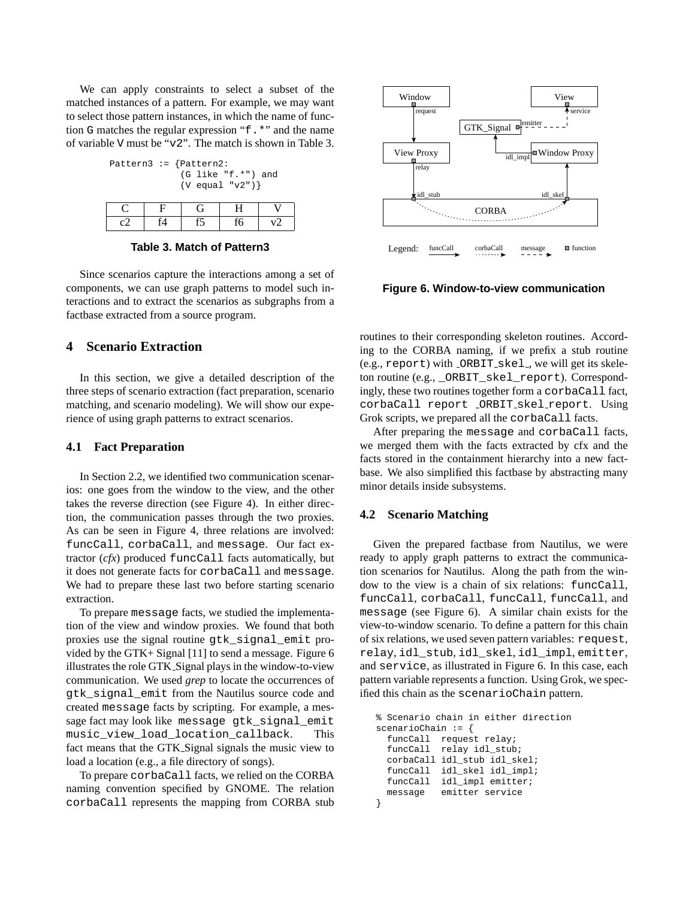We can apply constraints to select a subset of the matched instances of a pattern. For example, we may want to select those pattern instances, in which the name of function G matches the regular expression "f.\*" and the name of variable V must be "v2". The match is shown in Table 3.

| Pattern3 := $\{Pattern2:$ |  |                      |  |
|---------------------------|--|----------------------|--|
|                           |  | $(G$ like "f.*") and |  |
|                           |  | $(V$ equal "v2")}    |  |

**Table 3. Match of Pattern3**

Since scenarios capture the interactions among a set of components, we can use graph patterns to model such interactions and to extract the scenarios as subgraphs from a factbase extracted from a source program.

# **4 Scenario Extraction**

In this section, we give a detailed description of the three steps of scenario extraction (fact preparation, scenario matching, and scenario modeling). We will show our experience of using graph patterns to extract scenarios.

### **4.1 Fact Preparation**

In Section 2.2, we identified two communication scenarios: one goes from the window to the view, and the other takes the reverse direction (see Figure 4). In either direction, the communication passes through the two proxies. As can be seen in Figure 4, three relations are involved: funcCall, corbaCall, and message. Our fact extractor (*cfx*) produced funcCall facts automatically, but it does not generate facts for corbaCall and message. We had to prepare these last two before starting scenario extraction.

To prepare message facts, we studied the implementation of the view and window proxies. We found that both proxies use the signal routine gtk\_signal\_emit provided by the GTK+ Signal [11] to send a message. Figure 6 illustrates the role GTK Signal plays in the window-to-view communication. We used *grep* to locate the occurrences of gtk\_signal\_emit from the Nautilus source code and created message facts by scripting. For example, a message fact may look like message gtk signal emit music\_view\_load\_location\_callback. This fact means that the GTK Signal signals the music view to load a location (e.g., a file directory of songs).

To prepare corbaCall facts, we relied on the CORBA naming convention specified by GNOME. The relation corbaCall represents the mapping from CORBA stub



**Figure 6. Window-to-view communication**

routines to their corresponding skeleton routines. According to the CORBA naming, if we prefix a stub routine (e.g., report) with \_ORBIT\_skel\_, we will get its skeleton routine (e.g., \_ORBIT\_skel\_report). Correspondingly, these two routines together form a corbaCall fact, corbaCall report \_ORBIT\_skel\_report. Using Grok scripts, we prepared all the corbaCall facts.

After preparing the message and corbaCall facts, we merged them with the facts extracted by cfx and the facts stored in the containment hierarchy into a new factbase. We also simplified this factbase by abstracting many minor details inside subsystems.

#### **4.2 Scenario Matching**

Given the prepared factbase from Nautilus, we were ready to apply graph patterns to extract the communication scenarios for Nautilus. Along the path from the window to the view is a chain of six relations: funcCall, funcCall, corbaCall, funcCall, funcCall, and message (see Figure 6). A similar chain exists for the view-to-window scenario. To define a pattern for this chain of six relations, we used seven pattern variables: request, relay, idl\_stub, idl\_skel, idl\_impl, emitter, and service, as illustrated in Figure 6. In this case, each pattern variable represents a function. Using Grok, we specified this chain as the scenarioChain pattern.

```
% Scenario chain in either direction
scenarioChain := {
  funcCall request relay;
  funcCall relay idl_stub;
  corbaCall idl_stub idl_skel;
  funcCall idl_skel idl_impl;
  funcCall idl_impl emitter;
  message emitter service
}
```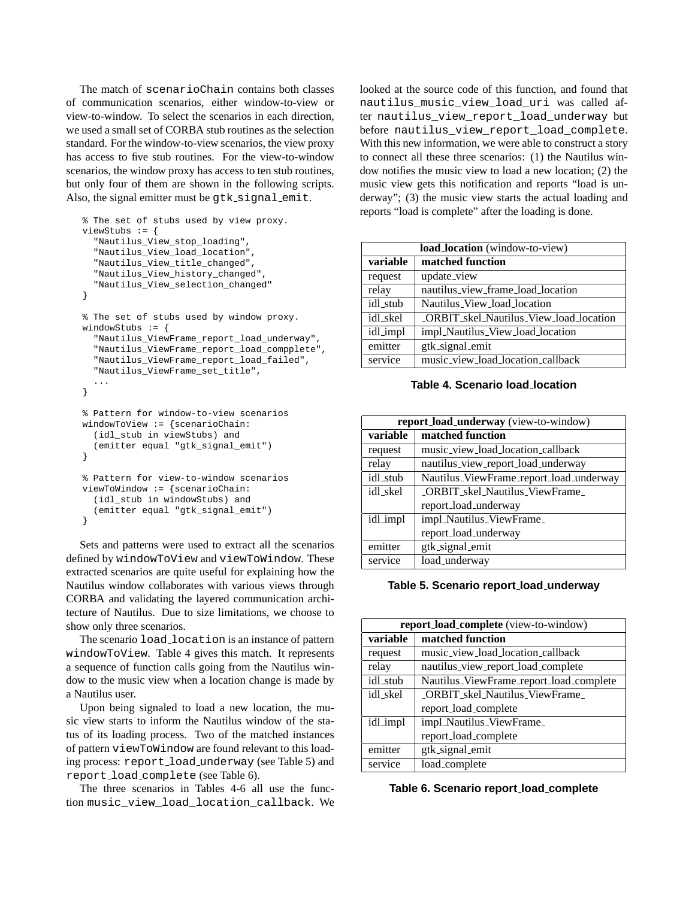The match of scenarioChain contains both classes of communication scenarios, either window-to-view or view-to-window. To select the scenarios in each direction, we used a small set of CORBA stub routines as the selection standard. For the window-to-view scenarios, the view proxy has access to five stub routines. For the view-to-window scenarios, the window proxy has access to ten stub routines, but only four of them are shown in the following scripts. Also, the signal emitter must be gtk\_signal\_emit.

```
% The set of stubs used by view proxy.
viewStubs := {
  "Nautilus_View_stop_loading",
  "Nautilus_View_load_location",
  "Nautilus_View_title_changed",
  "Nautilus_View_history_changed",
  "Nautilus View selection changed"
}
% The set of stubs used by window proxy.
windowStubs := {
  "Nautilus_ViewFrame_report_load_underway",
  "Nautilus_ViewFrame_report_load_compplete",
  "Nautilus_ViewFrame_report_load_failed",
  "Nautilus_ViewFrame_set_title",
  ...
}
% Pattern for window-to-view scenarios
windowToView := {scenarioChain:
  (idl_stub in viewStubs) and
  (emitter equal "gtk_signal_emit")
}
% Pattern for view-to-window scenarios
viewToWindow := {scenarioChain:
  (idl_stub in windowStubs) and
  (emitter equal "gtk_signal_emit")
```

```
}
```
Sets and patterns were used to extract all the scenarios defined by windowToView and viewToWindow. These extracted scenarios are quite useful for explaining how the Nautilus window collaborates with various views through CORBA and validating the layered communication architecture of Nautilus. Due to size limitations, we choose to show only three scenarios.

The scenario load location is an instance of pattern windowToView. Table 4 gives this match. It represents a sequence of function calls going from the Nautilus window to the music view when a location change is made by a Nautilus user.

Upon being signaled to load a new location, the music view starts to inform the Nautilus window of the status of its loading process. Two of the matched instances of pattern viewToWindow are found relevant to this loading process: report\_load\_underway (see Table 5) and report load complete (see Table 6).

The three scenarios in Tables 4-6 all use the function music\_view\_load\_location\_callback. We looked at the source code of this function, and found that nautilus\_music\_view\_load\_uri was called after nautilus view report load underway but before nautilus\_view\_report\_load\_complete. With this new information, we were able to construct a story to connect all these three scenarios: (1) the Nautilus window notifies the music view to load a new location; (2) the music view gets this notification and reports "load is underway"; (3) the music view starts the actual loading and reports "load is complete" after the loading is done.

|          | <b>load_location</b> (window-to-view)   |  |  |
|----------|-----------------------------------------|--|--|
| variable | matched function                        |  |  |
| request  | update_view                             |  |  |
| relay    | nautilus_view_frame_load_location       |  |  |
| idl_stub | Nautilus_View_load_location             |  |  |
| idl_skel | _ORBIT_skel_Nautilus_View_load_location |  |  |
| idl_impl | impl_Nautilus_View_load_location        |  |  |
| emitter  | gtk_signal_emit                         |  |  |
| service  | music_view_load_location_callback       |  |  |

**Table 4. Scenario load location**

|          | report_load_underway (view-to-window)   |  |  |
|----------|-----------------------------------------|--|--|
| variable | matched function                        |  |  |
| request  | music_view_load_location_callback       |  |  |
| relay    | nautilus_view_report_load_underway      |  |  |
| idl stub | Nautilus_ViewFrame_report_load_underway |  |  |
| idl skel | <b>ORBIT</b> skel Nautilus ViewFrame    |  |  |
|          | report_load_underway                    |  |  |
| idl_impl | impl_Nautilus_ViewFrame_                |  |  |
|          | report_load_underway                    |  |  |
| emitter  | gtk_signal_emit                         |  |  |
| service  | load_underway                           |  |  |

**Table 5. Scenario report load underway**

|          | <b>report_load_complete</b> (view-to-window) |  |  |
|----------|----------------------------------------------|--|--|
| variable | matched function                             |  |  |
| request  | music_view_load_location_callback            |  |  |
| relay    | nautilus_view_report_load_complete           |  |  |
| idl_stub | Nautilus_ViewFrame_report_load_complete      |  |  |
| idl_skel | _ORBIT_skel_Nautilus_ViewFrame_              |  |  |
|          | report_load_complete                         |  |  |
| idl_impl | impl_Nautilus_ViewFrame_                     |  |  |
|          | report_load_complete                         |  |  |
| emitter  | gtk_signal_emit                              |  |  |
| service  | load_complete                                |  |  |

**Table 6. Scenario report load complete**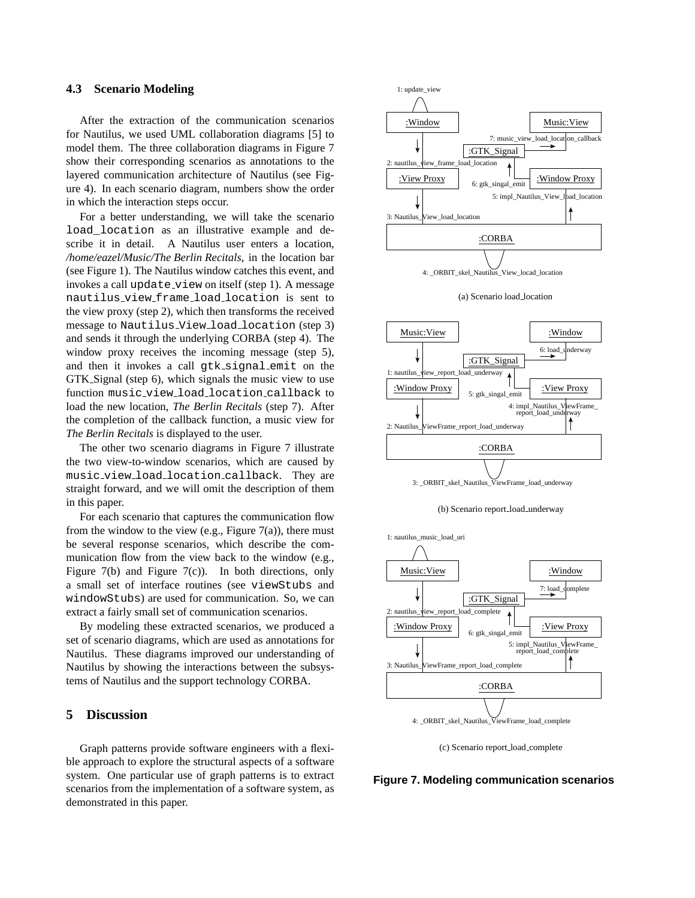#### **4.3 Scenario Modeling**

After the extraction of the communication scenarios for Nautilus, we used UML collaboration diagrams [5] to model them. The three collaboration diagrams in Figure 7 show their corresponding scenarios as annotations to the layered communication architecture of Nautilus (see Figure 4). In each scenario diagram, numbers show the order in which the interaction steps occur.

For a better understanding, we will take the scenario load\_location as an illustrative example and describe it in detail. A Nautilus user enters a location, */home/eazel/Music/The Berlin Recitals*, in the location bar (see Figure 1). The Nautilus window catches this event, and invokes a call update\_view on itself (step 1). A message nautilus view frame load location is sent to the view proxy (step 2), which then transforms the received message to Nautilus\_View\_load\_location (step 3) and sends it through the underlying CORBA (step 4). The window proxy receives the incoming message (step 5), and then it invokes a call gtk signal emit on the GTK Signal (step 6), which signals the music view to use function music view load location callback to load the new location, *The Berlin Recitals* (step 7). After the completion of the callback function, a music view for *The Berlin Recitals* is displayed to the user.

The other two scenario diagrams in Figure 7 illustrate the two view-to-window scenarios, which are caused by music view load location callback. They are straight forward, and we will omit the description of them in this paper.

For each scenario that captures the communication flow from the window to the view (e.g., Figure  $7(a)$ ), there must be several response scenarios, which describe the communication flow from the view back to the window (e.g., Figure 7(b) and Figure 7(c)). In both directions, only a small set of interface routines (see viewStubs and windowStubs) are used for communication. So, we can extract a fairly small set of communication scenarios.

By modeling these extracted scenarios, we produced a set of scenario diagrams, which are used as annotations for Nautilus. These diagrams improved our understanding of Nautilus by showing the interactions between the subsystems of Nautilus and the support technology CORBA.

### **5 Discussion**

Graph patterns provide software engineers with a flexible approach to explore the structural aspects of a software system. One particular use of graph patterns is to extract scenarios from the implementation of a software system, as demonstrated in this paper.











(c) Scenario report load complete

**Figure 7. Modeling communication scenarios**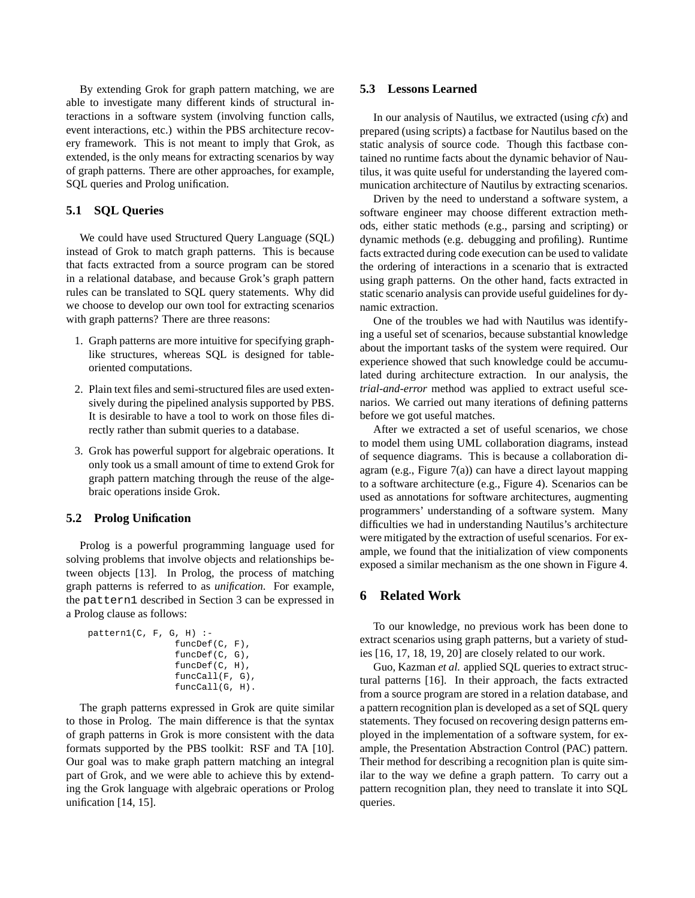By extending Grok for graph pattern matching, we are able to investigate many different kinds of structural interactions in a software system (involving function calls, event interactions, etc.) within the PBS architecture recovery framework. This is not meant to imply that Grok, as extended, is the only means for extracting scenarios by way of graph patterns. There are other approaches, for example, SQL queries and Prolog unification.

#### **5.1 SQL Queries**

We could have used Structured Query Language (SQL) instead of Grok to match graph patterns. This is because that facts extracted from a source program can be stored in a relational database, and because Grok's graph pattern rules can be translated to SQL query statements. Why did we choose to develop our own tool for extracting scenarios with graph patterns? There are three reasons:

- 1. Graph patterns are more intuitive for specifying graphlike structures, whereas SQL is designed for tableoriented computations.
- 2. Plain text files and semi-structured files are used extensively during the pipelined analysis supported by PBS. It is desirable to have a tool to work on those files directly rather than submit queries to a database.
- 3. Grok has powerful support for algebraic operations. It only took us a small amount of time to extend Grok for graph pattern matching through the reuse of the algebraic operations inside Grok.

#### **5.2 Prolog Unification**

Prolog is a powerful programming language used for solving problems that involve objects and relationships between objects [13]. In Prolog, the process of matching graph patterns is referred to as *unification*. For example, the pattern1 described in Section 3 can be expressed in a Prolog clause as follows:

```
pattern1(C, F, G, H) :-
                funcDef(C, F),
                funcDef(C, G),
                funcDef(C, H),
                funcCall(F, G),
                funcCall(G, H).
```
The graph patterns expressed in Grok are quite similar to those in Prolog. The main difference is that the syntax of graph patterns in Grok is more consistent with the data formats supported by the PBS toolkit: RSF and TA [10]. Our goal was to make graph pattern matching an integral part of Grok, and we were able to achieve this by extending the Grok language with algebraic operations or Prolog unification [14, 15].

#### **5.3 Lessons Learned**

In our analysis of Nautilus, we extracted (using *cfx*) and prepared (using scripts) a factbase for Nautilus based on the static analysis of source code. Though this factbase contained no runtime facts about the dynamic behavior of Nautilus, it was quite useful for understanding the layered communication architecture of Nautilus by extracting scenarios.

Driven by the need to understand a software system, a software engineer may choose different extraction methods, either static methods (e.g., parsing and scripting) or dynamic methods (e.g. debugging and profiling). Runtime facts extracted during code execution can be used to validate the ordering of interactions in a scenario that is extracted using graph patterns. On the other hand, facts extracted in static scenario analysis can provide useful guidelines for dynamic extraction.

One of the troubles we had with Nautilus was identifying a useful set of scenarios, because substantial knowledge about the important tasks of the system were required. Our experience showed that such knowledge could be accumulated during architecture extraction. In our analysis, the *trial-and-error* method was applied to extract useful scenarios. We carried out many iterations of defining patterns before we got useful matches.

After we extracted a set of useful scenarios, we chose to model them using UML collaboration diagrams, instead of sequence diagrams. This is because a collaboration diagram (e.g., Figure  $7(a)$ ) can have a direct layout mapping to a software architecture (e.g., Figure 4). Scenarios can be used as annotations for software architectures, augmenting programmers' understanding of a software system. Many difficulties we had in understanding Nautilus's architecture were mitigated by the extraction of useful scenarios. For example, we found that the initialization of view components exposed a similar mechanism as the one shown in Figure 4.

# **6 Related Work**

To our knowledge, no previous work has been done to extract scenarios using graph patterns, but a variety of studies [16, 17, 18, 19, 20] are closely related to our work.

Guo, Kazman *et al.* applied SQL queries to extract structural patterns [16]. In their approach, the facts extracted from a source program are stored in a relation database, and a pattern recognition plan is developed as a set of SQL query statements. They focused on recovering design patterns employed in the implementation of a software system, for example, the Presentation Abstraction Control (PAC) pattern. Their method for describing a recognition plan is quite similar to the way we define a graph pattern. To carry out a pattern recognition plan, they need to translate it into SQL queries.